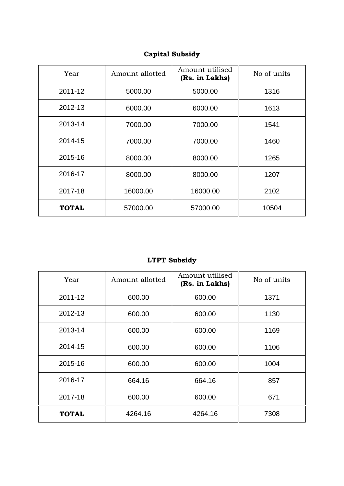## **Capital Subsidy**

| Year         | Amount allotted | Amount utilised<br>(Rs. in Lakhs) | No of units |  |  |
|--------------|-----------------|-----------------------------------|-------------|--|--|
| 2011-12      | 5000.00         | 5000.00                           |             |  |  |
| 2012-13      | 6000.00         | 6000.00                           | 1613        |  |  |
| 2013-14      | 7000.00         | 7000.00                           | 1541        |  |  |
| 2014-15      | 7000.00         | 7000.00                           | 1460        |  |  |
| 2015-16      | 8000.00         | 8000.00                           | 1265        |  |  |
| 2016-17      | 8000.00         | 8000.00                           | 1207        |  |  |
| 2017-18      | 16000.00        | 16000.00                          | 2102        |  |  |
| <b>TOTAL</b> | 57000.00        | 57000.00                          | 10504       |  |  |

## **LTPT Subsidy**

| Year         | Amount allotted | Amount utilised<br>(Rs. in Lakhs) | No of units |  |  |
|--------------|-----------------|-----------------------------------|-------------|--|--|
| 2011-12      | 600.00          | 600.00                            |             |  |  |
| 2012-13      | 600.00          | 600.00                            | 1130        |  |  |
| 2013-14      | 600.00          | 600.00                            | 1169        |  |  |
| 2014-15      | 600.00          | 600.00                            | 1106        |  |  |
| 2015-16      | 600.00          | 600.00                            | 1004        |  |  |
| 2016-17      | 664.16          | 664.16                            | 857         |  |  |
| 2017-18      | 600.00          | 600.00                            | 671         |  |  |
| <b>TOTAL</b> | 4264.16         | 4264.16                           | 7308        |  |  |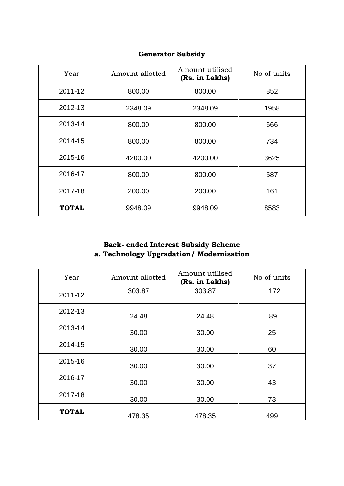| Year         | Amount allotted | Amount utilised<br>(Rs. in Lakhs) | No of units |
|--------------|-----------------|-----------------------------------|-------------|
| 2011-12      | 800.00          | 800.00                            | 852         |
| 2012-13      | 2348.09         | 2348.09                           | 1958        |
| 2013-14      | 800.00          | 800.00                            | 666         |
| 2014-15      | 800.00          | 800.00                            | 734         |
| 2015-16      | 4200.00         | 4200.00                           | 3625        |
| 2016-17      | 800.00          | 800.00                            | 587         |
| 2017-18      | 200.00          | 200.00                            | 161         |
| <b>TOTAL</b> | 9948.09         | 9948.09                           | 8583        |

#### **Generator Subsidy**

## **Back- ended Interest Subsidy Scheme a. Technology Upgradation/ Modernisation**

| Year         | Amount allotted | Amount utilised<br>(Rs. in Lakhs) | No of units |
|--------------|-----------------|-----------------------------------|-------------|
| 2011-12      | 303.87          | 303.87                            | 172         |
| 2012-13      | 24.48           | 24.48                             | 89          |
| 2013-14      | 30.00           | 30.00                             | 25          |
| 2014-15      | 30.00           | 30.00                             | 60          |
| 2015-16      | 30.00           | 30.00                             | 37          |
| 2016-17      | 30.00           | 30.00                             | 43          |
| 2017-18      | 30.00           | 30.00                             | 73          |
| <b>TOTAL</b> | 478.35          | 478.35                            | 499         |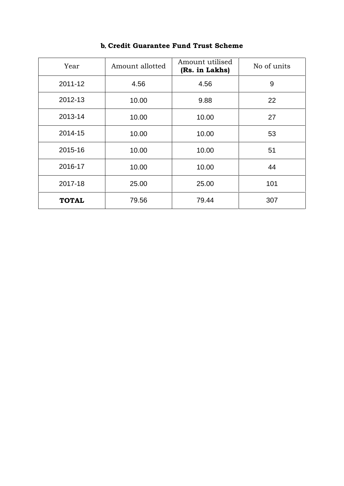| Year         | Amount allotted | Amount utilised<br>(Rs. in Lakhs) | No of units |
|--------------|-----------------|-----------------------------------|-------------|
| 2011-12      | 4.56            | 4.56                              | 9           |
| 2012-13      | 10.00           | 22                                |             |
| 2013-14      | 10.00           | 10.00                             | 27          |
| 2014-15      | 10.00           | 10.00                             | 53          |
| 2015-16      | 10.00           | 10.00                             | 51          |
| 2016-17      | 10.00           | 10.00                             | 44          |
| 2017-18      | 25.00           | 25.00                             | 101         |
| <b>TOTAL</b> | 79.56           | 79.44                             | 307         |

## **b. Credit Guarantee Fund Trust Scheme**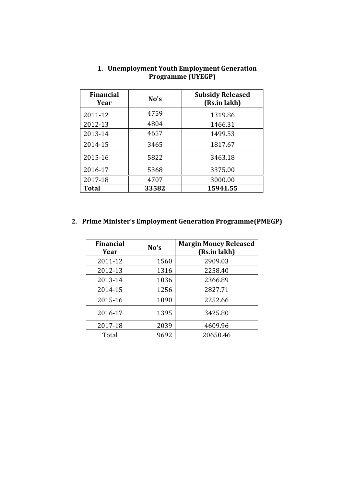| <b>Financial</b><br>Year | No's  | <b>Subsidy Released</b><br>(Rs.in lakh) |
|--------------------------|-------|-----------------------------------------|
| 2011-12                  | 4759  | 1319.86                                 |
| 2012-13                  | 4804  | 1466.31                                 |
| 2013-14                  | 4657  | 1499.53                                 |
| 2014-15                  | 3465  | 1817.67                                 |
| 2015-16                  | 5822  | 3463.18                                 |
| 2016-17                  | 5368  | 3375.00                                 |
| 2017-18                  | 4707  | 3000.00                                 |
| <b>Total</b>             | 33582 | 15941.55                                |

#### **1. Unemployment Youth Employment Generation Programme (UYEGP)**

## **2. Prime Minister's Employment Generation Programme(PMEGP)**

| <b>Financial</b><br>Year | No's | <b>Margin Money Released</b><br>(Rs.in lakh) |
|--------------------------|------|----------------------------------------------|
| 2011-12                  | 1560 | 2909.03                                      |
| 2012-13                  | 1316 | 2258.40                                      |
| 2013-14                  | 1036 | 2366.89                                      |
| 2014-15                  | 1256 | 2827.71                                      |
| 2015-16                  | 1090 | 2252.66                                      |
| 2016-17                  | 1395 | 3425.80                                      |
| 2017-18                  | 2039 | 4609.96                                      |
| Total                    | 9692 | 20650.46                                     |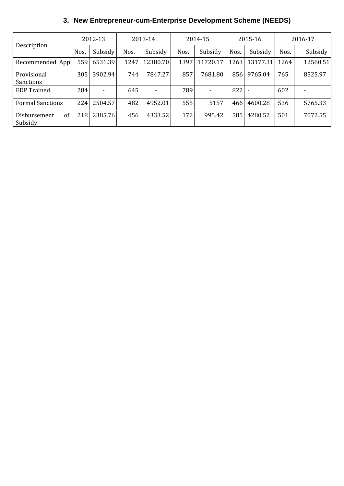# **3. New Entrepreneur-cum-Enterprise Development Scheme (NEEDS)**

|                                 |      | 2012-13 |      | 2013-14                  | 2014-15 |                          | 2015-16 |          | 2016-17 |          |
|---------------------------------|------|---------|------|--------------------------|---------|--------------------------|---------|----------|---------|----------|
| Description                     | Nos. | Subsidy | Nos. | Subsidy                  | Nos.    | Subsidy                  | Nos.    | Subsidy  | Nos.    | Subsidy  |
| Recommended App                 | 559  | 6531.39 | 1247 | 12380.70                 | 1397    | 11720.17                 | 1263    | 13177.31 | 1264    | 12560.51 |
| Provisional<br><b>Sanctions</b> | 305  | 3902.94 | 744  | 7847.27                  | 857     | 7681.80                  | 856     | 9765.04  | 765     | 8525.97  |
| <b>EDP</b> Trained              | 284  |         | 645  | $\overline{\phantom{0}}$ | 789     | $\overline{\phantom{0}}$ | 822     |          | 602     |          |
| <b>Formal Sanctions</b>         | 224  | 2504.57 | 482  | 4952.01                  | 555     | 5157                     | 466     | 4600.28  | 536     | 5765.33  |
| of<br>Disbursement<br>Subsidy   | 218  | 2385.76 | 456  | 4333.52                  | 172     | 995.42                   | 585     | 4280.52  | 501     | 7072.55  |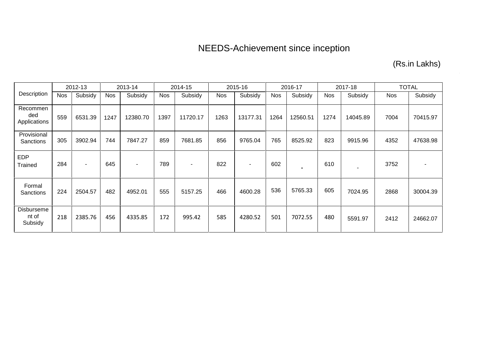# NEEDS-Achievement since inception

(Rs.in Lakhs)

|                                 |            | 2012-13 |            | 2013-14                  |            | 2014-15                  |            | 2015-16                  |      | 2016-17  |            | 2017-18  |            | <b>TOTAL</b> |
|---------------------------------|------------|---------|------------|--------------------------|------------|--------------------------|------------|--------------------------|------|----------|------------|----------|------------|--------------|
| Description                     | <b>Nos</b> | Subsidy | <b>Nos</b> | Subsidy                  | <b>Nos</b> | Subsidy                  | <b>Nos</b> | Subsidy                  | Nos  | Subsidy  | <b>Nos</b> | Subsidy  | <b>Nos</b> | Subsidy      |
| Recommen<br>ded<br>Applications | 559        | 6531.39 | 1247       | 12380.70                 | 1397       | 11720.17                 | 1263       | 13177.31                 | 1264 | 12560.51 | 1274       | 14045.89 | 7004       | 70415.97     |
| Provisional<br>Sanctions        | 305        | 3902.94 | 744        | 7847.27                  | 859        | 7681.85                  | 856        | 9765.04                  | 765  | 8525.92  | 823        | 9915.96  | 4352       | 47638.98     |
| <b>EDP</b><br>Trained           | 284        | ۰       | 645        | $\overline{\phantom{a}}$ | 789        | $\overline{\phantom{a}}$ | 822        | $\overline{\phantom{a}}$ | 602  |          | 610        | ٠        | 3752       |              |
| Formal<br>Sanctions             | 224        | 2504.57 | 482        | 4952.01                  | 555        | 5157.25                  | 466        | 4600.28                  | 536  | 5765.33  | 605        | 7024.95  | 2868       | 30004.39     |
| Disburseme<br>nt of<br>Subsidy  | 218        | 2385.76 | 456        | 4335.85                  | 172        | 995.42                   | 585        | 4280.52                  | 501  | 7072.55  | 480        | 5591.97  | 2412       | 24662.07     |